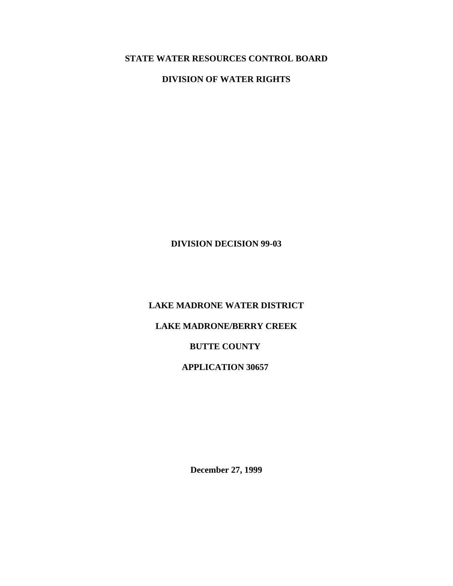# **STATE WATER RESOURCES CONTROL BOARD**

**DIVISION OF WATER RIGHTS** 

**DIVISION DECISION 99-03** 

**LAKE MADRONE WATER DISTRICT** 

**LAKE MADRONE/BERRY CREEK** 

**BUTTE COUNTY** 

**APPLICATION 30657** 

**December 27, 1999**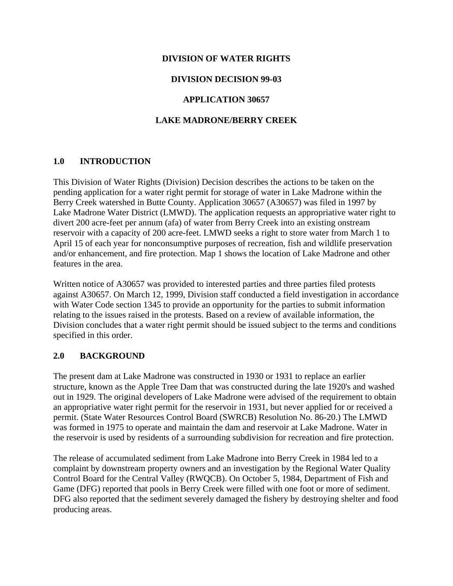#### **DIVISION OF WATER RIGHTS**

#### **DIVISION DECISION 99-03**

#### **APPLICATION 30657**

#### **LAKE MADRONE/BERRY CREEK**

#### **1.0 INTRODUCTION**

This Division of Water Rights (Division) Decision describes the actions to be taken on the pending application for a water right permit for storage of water in Lake Madrone within the Berry Creek watershed in Butte County. Application 30657 (A30657) was filed in 1997 by Lake Madrone Water District (LMWD). The application requests an appropriative water right to divert 200 acre-feet per annum (afa) of water from Berry Creek into an existing onstream reservoir with a capacity of 200 acre-feet. LMWD seeks a right to store water from March 1 to April 15 of each year for nonconsumptive purposes of recreation, fish and wildlife preservation and/or enhancement, and fire protection. Map 1 shows the location of Lake Madrone and other features in the area.

Written notice of A30657 was provided to interested parties and three parties filed protests against A30657. On March 12, 1999, Division staff conducted a field investigation in accordance with Water Code section 1345 to provide an opportunity for the parties to submit information relating to the issues raised in the protests. Based on a review of available information, the Division concludes that a water right permit should be issued subject to the terms and conditions specified in this order.

### **2.0 BACKGROUND**

The present dam at Lake Madrone was constructed in 1930 or 1931 to replace an earlier structure, known as the Apple Tree Dam that was constructed during the late 1920's and washed out in 1929. The original developers of Lake Madrone were advised of the requirement to obtain an appropriative water right permit for the reservoir in 1931, but never applied for or received a permit. (State Water Resources Control Board (SWRCB) Resolution No. 86-20.) The LMWD was formed in 1975 to operate and maintain the dam and reservoir at Lake Madrone. Water in the reservoir is used by residents of a surrounding subdivision for recreation and fire protection.

The release of accumulated sediment from Lake Madrone into Berry Creek in 1984 led to a complaint by downstream property owners and an investigation by the Regional Water Quality Control Board for the Central Valley (RWQCB). On October 5, 1984, Department of Fish and Game (DFG) reported that pools in Berry Creek were filled with one foot or more of sediment. DFG also reported that the sediment severely damaged the fishery by destroying shelter and food producing areas.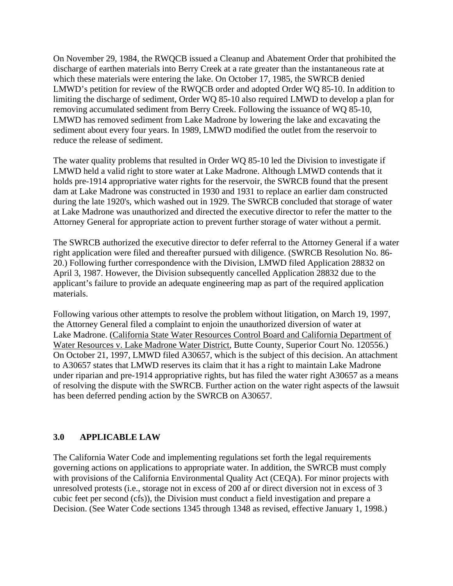On November 29, 1984, the RWQCB issued a Cleanup and Abatement Order that prohibited the discharge of earthen materials into Berry Creek at a rate greater than the instantaneous rate at which these materials were entering the lake. On October 17, 1985, the SWRCB denied LMWD's petition for review of the RWQCB order and adopted Order WQ 85-10. In addition to limiting the discharge of sediment, Order WQ 85-10 also required LMWD to develop a plan for removing accumulated sediment from Berry Creek. Following the issuance of WQ 85-10, LMWD has removed sediment from Lake Madrone by lowering the lake and excavating the sediment about every four years. In 1989, LMWD modified the outlet from the reservoir to reduce the release of sediment.

The water quality problems that resulted in Order WQ 85-10 led the Division to investigate if LMWD held a valid right to store water at Lake Madrone. Although LMWD contends that it holds pre-1914 appropriative water rights for the reservoir, the SWRCB found that the present dam at Lake Madrone was constructed in 1930 and 1931 to replace an earlier dam constructed during the late 1920's, which washed out in 1929. The SWRCB concluded that storage of water at Lake Madrone was unauthorized and directed the executive director to refer the matter to the Attorney General for appropriate action to prevent further storage of water without a permit.

The SWRCB authorized the executive director to defer referral to the Attorney General if a water right application were filed and thereafter pursued with diligence. (SWRCB Resolution No. 86- 20.) Following further correspondence with the Division, LMWD filed Application 28832 on April 3, 1987. However, the Division subsequently cancelled Application 28832 due to the applicant's failure to provide an adequate engineering map as part of the required application materials.

Following various other attempts to resolve the problem without litigation, on March 19, 1997, the Attorney General filed a complaint to enjoin the unauthorized diversion of water at Lake Madrone. (California State Water Resources Control Board and California Department of Water Resources v. Lake Madrone Water District, Butte County, Superior Court No. 120556.) On October 21, 1997, LMWD filed A30657, which is the subject of this decision. An attachment to A30657 states that LMWD reserves its claim that it has a right to maintain Lake Madrone under riparian and pre-1914 appropriative rights, but has filed the water right A30657 as a means of resolving the dispute with the SWRCB. Further action on the water right aspects of the lawsuit has been deferred pending action by the SWRCB on A30657.

### **3.0 APPLICABLE LAW**

The California Water Code and implementing regulations set forth the legal requirements governing actions on applications to appropriate water. In addition, the SWRCB must comply with provisions of the California Environmental Quality Act (CEQA). For minor projects with unresolved protests (i.e., storage not in excess of 200 af or direct diversion not in excess of 3 cubic feet per second (cfs)), the Division must conduct a field investigation and prepare a Decision. (See Water Code sections 1345 through 1348 as revised, effective January 1, 1998.)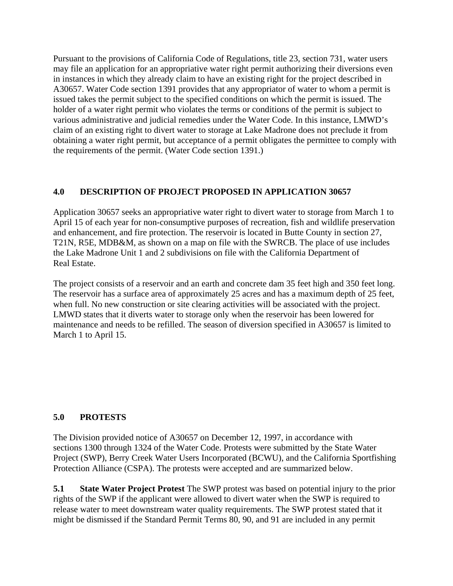Pursuant to the provisions of California Code of Regulations, title 23, section 731, water users may file an application for an appropriative water right permit authorizing their diversions even in instances in which they already claim to have an existing right for the project described in A30657. Water Code section 1391 provides that any appropriator of water to whom a permit is issued takes the permit subject to the specified conditions on which the permit is issued. The holder of a water right permit who violates the terms or conditions of the permit is subject to various administrative and judicial remedies under the Water Code. In this instance, LMWD's claim of an existing right to divert water to storage at Lake Madrone does not preclude it from obtaining a water right permit, but acceptance of a permit obligates the permittee to comply with the requirements of the permit. (Water Code section 1391.)

# **4.0 DESCRIPTION OF PROJECT PROPOSED IN APPLICATION 30657**

Application 30657 seeks an appropriative water right to divert water to storage from March 1 to April 15 of each year for non-consumptive purposes of recreation, fish and wildlife preservation and enhancement, and fire protection. The reservoir is located in Butte County in section 27, T21N, R5E, MDB&M, as shown on a map on file with the SWRCB. The place of use includes the Lake Madrone Unit 1 and 2 subdivisions on file with the California Department of Real Estate.

The project consists of a reservoir and an earth and concrete dam 35 feet high and 350 feet long. The reservoir has a surface area of approximately 25 acres and has a maximum depth of 25 feet, when full. No new construction or site clearing activities will be associated with the project. LMWD states that it diverts water to storage only when the reservoir has been lowered for maintenance and needs to be refilled. The season of diversion specified in A30657 is limited to March 1 to April 15.

### **5.0 PROTESTS**

The Division provided notice of A30657 on December 12, 1997, in accordance with sections 1300 through 1324 of the Water Code. Protests were submitted by the State Water Project (SWP), Berry Creek Water Users Incorporated (BCWU), and the California Sportfishing Protection Alliance (CSPA). The protests were accepted and are summarized below.

**5.1 State Water Project Protest** The SWP protest was based on potential injury to the prior rights of the SWP if the applicant were allowed to divert water when the SWP is required to release water to meet downstream water quality requirements. The SWP protest stated that it might be dismissed if the Standard Permit Terms 80, 90, and 91 are included in any permit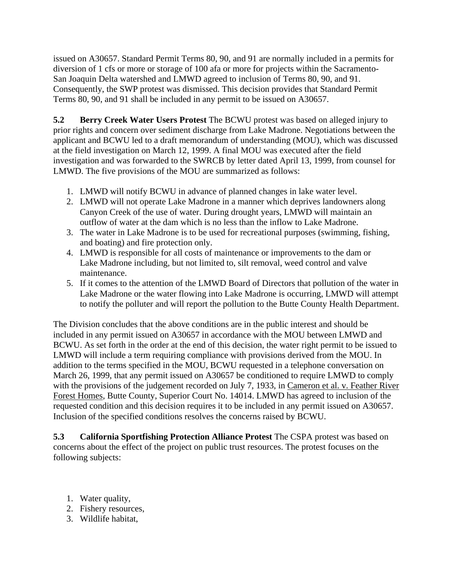issued on A30657. Standard Permit Terms 80, 90, and 91 are normally included in a permits for diversion of 1 cfs or more or storage of 100 afa or more for projects within the Sacramento-San Joaquin Delta watershed and LMWD agreed to inclusion of Terms 80, 90, and 91. Consequently, the SWP protest was dismissed. This decision provides that Standard Permit Terms 80, 90, and 91 shall be included in any permit to be issued on A30657.

**5.2 Berry Creek Water Users Protest** The BCWU protest was based on alleged injury to prior rights and concern over sediment discharge from Lake Madrone. Negotiations between the applicant and BCWU led to a draft memorandum of understanding (MOU), which was discussed at the field investigation on March 12, 1999. A final MOU was executed after the field investigation and was forwarded to the SWRCB by letter dated April 13, 1999, from counsel for LMWD. The five provisions of the MOU are summarized as follows:

- 1. LMWD will notify BCWU in advance of planned changes in lake water level.
- 2. LMWD will not operate Lake Madrone in a manner which deprives landowners along Canyon Creek of the use of water. During drought years, LMWD will maintain an outflow of water at the dam which is no less than the inflow to Lake Madrone.
- 3. The water in Lake Madrone is to be used for recreational purposes (swimming, fishing, and boating) and fire protection only.
- 4. LMWD is responsible for all costs of maintenance or improvements to the dam or Lake Madrone including, but not limited to, silt removal, weed control and valve maintenance.
- 5. If it comes to the attention of the LMWD Board of Directors that pollution of the water in Lake Madrone or the water flowing into Lake Madrone is occurring, LMWD will attempt to notify the polluter and will report the pollution to the Butte County Health Department.

The Division concludes that the above conditions are in the public interest and should be included in any permit issued on A30657 in accordance with the MOU between LMWD and BCWU. As set forth in the order at the end of this decision, the water right permit to be issued to LMWD will include a term requiring compliance with provisions derived from the MOU. In addition to the terms specified in the MOU, BCWU requested in a telephone conversation on March 26, 1999, that any permit issued on A30657 be conditioned to require LMWD to comply with the provisions of the judgement recorded on July 7, 1933, in Cameron et al. v. Feather River Forest Homes, Butte County, Superior Court No. 14014. LMWD has agreed to inclusion of the requested condition and this decision requires it to be included in any permit issued on A30657. Inclusion of the specified conditions resolves the concerns raised by BCWU.

**5.3 California Sportfishing Protection Alliance Protest** The CSPA protest was based on concerns about the effect of the project on public trust resources. The protest focuses on the following subjects:

- 1. Water quality,
- 2. Fishery resources,
- 3. Wildlife habitat,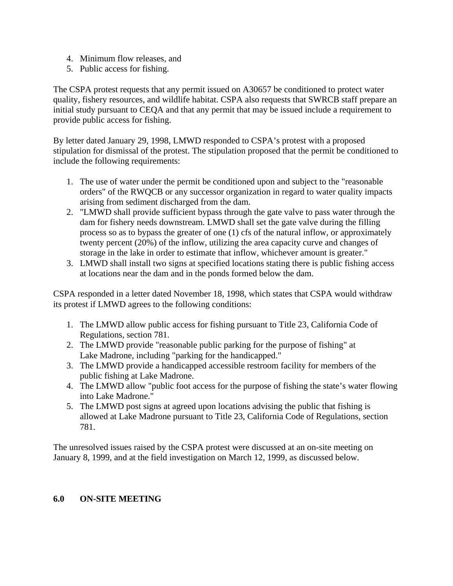- 4. Minimum flow releases, and
- 5. Public access for fishing.

The CSPA protest requests that any permit issued on A30657 be conditioned to protect water quality, fishery resources, and wildlife habitat. CSPA also requests that SWRCB staff prepare an initial study pursuant to CEQA and that any permit that may be issued include a requirement to provide public access for fishing.

By letter dated January 29, 1998, LMWD responded to CSPA's protest with a proposed stipulation for dismissal of the protest. The stipulation proposed that the permit be conditioned to include the following requirements:

- 1. The use of water under the permit be conditioned upon and subject to the "reasonable orders" of the RWQCB or any successor organization in regard to water quality impacts arising from sediment discharged from the dam.
- 2. "LMWD shall provide sufficient bypass through the gate valve to pass water through the dam for fishery needs downstream. LMWD shall set the gate valve during the filling process so as to bypass the greater of one (1) cfs of the natural inflow, or approximately twenty percent (20%) of the inflow, utilizing the area capacity curve and changes of storage in the lake in order to estimate that inflow, whichever amount is greater."
- 3. LMWD shall install two signs at specified locations stating there is public fishing access at locations near the dam and in the ponds formed below the dam.

CSPA responded in a letter dated November 18, 1998, which states that CSPA would withdraw its protest if LMWD agrees to the following conditions:

- 1. The LMWD allow public access for fishing pursuant to Title 23, California Code of Regulations, section 781.
- 2. The LMWD provide "reasonable public parking for the purpose of fishing" at Lake Madrone, including "parking for the handicapped."
- 3. The LMWD provide a handicapped accessible restroom facility for members of the public fishing at Lake Madrone.
- 4. The LMWD allow "public foot access for the purpose of fishing the state's water flowing into Lake Madrone."
- 5. The LMWD post signs at agreed upon locations advising the public that fishing is allowed at Lake Madrone pursuant to Title 23, California Code of Regulations, section 781.

The unresolved issues raised by the CSPA protest were discussed at an on-site meeting on January 8, 1999, and at the field investigation on March 12, 1999, as discussed below.

#### **6.0 ON-SITE MEETING**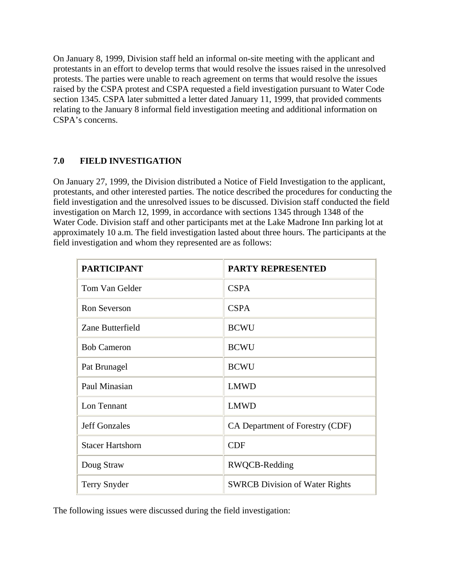On January 8, 1999, Division staff held an informal on-site meeting with the applicant and protestants in an effort to develop terms that would resolve the issues raised in the unresolved protests. The parties were unable to reach agreement on terms that would resolve the issues raised by the CSPA protest and CSPA requested a field investigation pursuant to Water Code section 1345. CSPA later submitted a letter dated January 11, 1999, that provided comments relating to the January 8 informal field investigation meeting and additional information on CSPA's concerns.

# **7.0 FIELD INVESTIGATION**

On January 27, 1999, the Division distributed a Notice of Field Investigation to the applicant, protestants, and other interested parties. The notice described the procedures for conducting the field investigation and the unresolved issues to be discussed. Division staff conducted the field investigation on March 12, 1999, in accordance with sections 1345 through 1348 of the Water Code. Division staff and other participants met at the Lake Madrone Inn parking lot at approximately 10 a.m. The field investigation lasted about three hours. The participants at the field investigation and whom they represented are as follows:

| <b>PARTICIPANT</b>      | <b>PARTY REPRESENTED</b>              |
|-------------------------|---------------------------------------|
| Tom Van Gelder          | <b>CSPA</b>                           |
| <b>Ron Severson</b>     | <b>CSPA</b>                           |
| Zane Butterfield        | <b>BCWU</b>                           |
| <b>Bob Cameron</b>      | <b>BCWU</b>                           |
| Pat Brunagel            | <b>BCWU</b>                           |
| Paul Minasian           | <b>LMWD</b>                           |
| Lon Tennant             | <b>LMWD</b>                           |
| <b>Jeff Gonzales</b>    | CA Department of Forestry (CDF)       |
| <b>Stacer Hartshorn</b> | <b>CDF</b>                            |
| Doug Straw              | RWQCB-Redding                         |
| Terry Snyder            | <b>SWRCB</b> Division of Water Rights |

The following issues were discussed during the field investigation: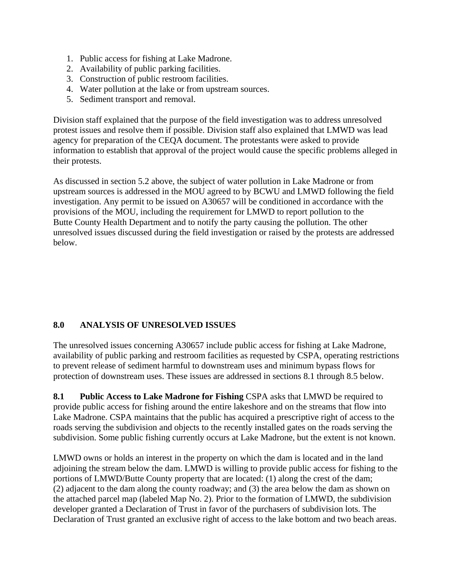- 1. Public access for fishing at Lake Madrone.
- 2. Availability of public parking facilities.
- 3. Construction of public restroom facilities.
- 4. Water pollution at the lake or from upstream sources.
- 5. Sediment transport and removal.

Division staff explained that the purpose of the field investigation was to address unresolved protest issues and resolve them if possible. Division staff also explained that LMWD was lead agency for preparation of the CEQA document. The protestants were asked to provide information to establish that approval of the project would cause the specific problems alleged in their protests.

As discussed in section 5.2 above, the subject of water pollution in Lake Madrone or from upstream sources is addressed in the MOU agreed to by BCWU and LMWD following the field investigation. Any permit to be issued on A30657 will be conditioned in accordance with the provisions of the MOU, including the requirement for LMWD to report pollution to the Butte County Health Department and to notify the party causing the pollution. The other unresolved issues discussed during the field investigation or raised by the protests are addressed below.

### **8.0 ANALYSIS OF UNRESOLVED ISSUES**

The unresolved issues concerning A30657 include public access for fishing at Lake Madrone, availability of public parking and restroom facilities as requested by CSPA, operating restrictions to prevent release of sediment harmful to downstream uses and minimum bypass flows for protection of downstream uses. These issues are addressed in sections 8.1 through 8.5 below.

**8.1 Public Access to Lake Madrone for Fishing** CSPA asks that LMWD be required to provide public access for fishing around the entire lakeshore and on the streams that flow into Lake Madrone. CSPA maintains that the public has acquired a prescriptive right of access to the roads serving the subdivision and objects to the recently installed gates on the roads serving the subdivision. Some public fishing currently occurs at Lake Madrone, but the extent is not known.

LMWD owns or holds an interest in the property on which the dam is located and in the land adjoining the stream below the dam. LMWD is willing to provide public access for fishing to the portions of LMWD/Butte County property that are located: (1) along the crest of the dam; (2) adjacent to the dam along the county roadway; and (3) the area below the dam as shown on the attached parcel map (labeled Map No. 2). Prior to the formation of LMWD, the subdivision developer granted a Declaration of Trust in favor of the purchasers of subdivision lots. The Declaration of Trust granted an exclusive right of access to the lake bottom and two beach areas.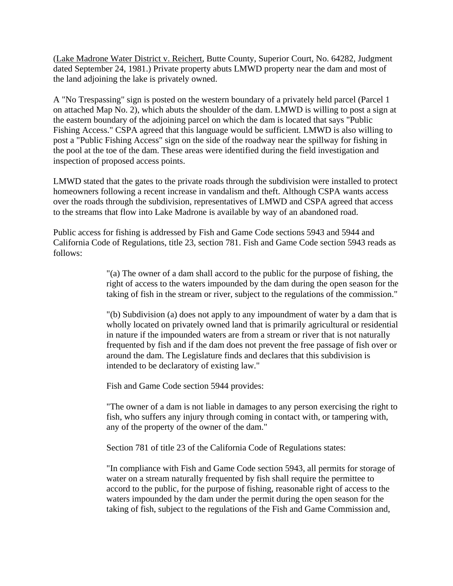(Lake Madrone Water District v. Reichert, Butte County, Superior Court, No. 64282, Judgment dated September 24, 1981.) Private property abuts LMWD property near the dam and most of the land adjoining the lake is privately owned.

A "No Trespassing" sign is posted on the western boundary of a privately held parcel (Parcel 1 on attached Map No. 2), which abuts the shoulder of the dam. LMWD is willing to post a sign at the eastern boundary of the adjoining parcel on which the dam is located that says "Public Fishing Access." CSPA agreed that this language would be sufficient*.* LMWD is also willing to post a "Public Fishing Access" sign on the side of the roadway near the spillway for fishing in the pool at the toe of the dam. These areas were identified during the field investigation and inspection of proposed access points.

LMWD stated that the gates to the private roads through the subdivision were installed to protect homeowners following a recent increase in vandalism and theft. Although CSPA wants access over the roads through the subdivision, representatives of LMWD and CSPA agreed that access to the streams that flow into Lake Madrone is available by way of an abandoned road.

Public access for fishing is addressed by Fish and Game Code sections 5943 and 5944 and California Code of Regulations, title 23, section 781. Fish and Game Code section 5943 reads as follows:

> "(a) The owner of a dam shall accord to the public for the purpose of fishing, the right of access to the waters impounded by the dam during the open season for the taking of fish in the stream or river, subject to the regulations of the commission."

> "(b) Subdivision (a) does not apply to any impoundment of water by a dam that is wholly located on privately owned land that is primarily agricultural or residential in nature if the impounded waters are from a stream or river that is not naturally frequented by fish and if the dam does not prevent the free passage of fish over or around the dam. The Legislature finds and declares that this subdivision is intended to be declaratory of existing law."

Fish and Game Code section 5944 provides:

"The owner of a dam is not liable in damages to any person exercising the right to fish, who suffers any injury through coming in contact with, or tampering with, any of the property of the owner of the dam."

Section 781 of title 23 of the California Code of Regulations states:

"In compliance with Fish and Game Code section 5943, all permits for storage of water on a stream naturally frequented by fish shall require the permittee to accord to the public, for the purpose of fishing, reasonable right of access to the waters impounded by the dam under the permit during the open season for the taking of fish, subject to the regulations of the Fish and Game Commission and,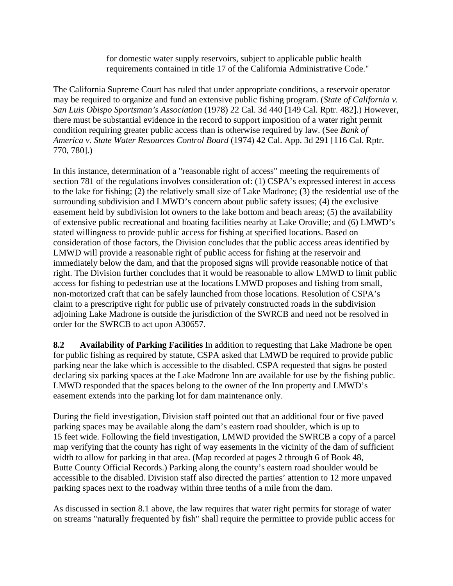for domestic water supply reservoirs, subject to applicable public health requirements contained in title 17 of the California Administrative Code."

The California Supreme Court has ruled that under appropriate conditions, a reservoir operator may be required to organize and fund an extensive public fishing program. (*State of California v. San Luis Obispo Sportsman's Association* (1978) 22 Cal. 3d 440 [149 Cal. Rptr. 482].) However, there must be substantial evidence in the record to support imposition of a water right permit condition requiring greater public access than is otherwise required by law. (See *Bank of America v. State Water Resources Control Board* (1974) 42 Cal. App. 3d 291 [116 Cal. Rptr. 770, 780].)

In this instance, determination of a "reasonable right of access" meeting the requirements of section 781 of the regulations involves consideration of: (1) CSPA's expressed interest in access to the lake for fishing; (2) the relatively small size of Lake Madrone; (3) the residential use of the surrounding subdivision and LMWD's concern about public safety issues; (4) the exclusive easement held by subdivision lot owners to the lake bottom and beach areas; (5) the availability of extensive public recreational and boating facilities nearby at Lake Oroville; and (6) LMWD's stated willingness to provide public access for fishing at specified locations. Based on consideration of those factors, the Division concludes that the public access areas identified by LMWD will provide a reasonable right of public access for fishing at the reservoir and immediately below the dam, and that the proposed signs will provide reasonable notice of that right. The Division further concludes that it would be reasonable to allow LMWD to limit public access for fishing to pedestrian use at the locations LMWD proposes and fishing from small, non-motorized craft that can be safely launched from those locations. Resolution of CSPA's claim to a prescriptive right for public use of privately constructed roads in the subdivision adjoining Lake Madrone is outside the jurisdiction of the SWRCB and need not be resolved in order for the SWRCB to act upon A30657.

**8.2 Availability of Parking Facilities** In addition to requesting that Lake Madrone be open for public fishing as required by statute, CSPA asked that LMWD be required to provide public parking near the lake which is accessible to the disabled. CSPA requested that signs be posted declaring six parking spaces at the Lake Madrone Inn are available for use by the fishing public. LMWD responded that the spaces belong to the owner of the Inn property and LMWD's easement extends into the parking lot for dam maintenance only.

During the field investigation, Division staff pointed out that an additional four or five paved parking spaces may be available along the dam's eastern road shoulder, which is up to 15 feet wide. Following the field investigation, LMWD provided the SWRCB a copy of a parcel map verifying that the county has right of way easements in the vicinity of the dam of sufficient width to allow for parking in that area. (Map recorded at pages 2 through 6 of Book 48, Butte County Official Records.) Parking along the county's eastern road shoulder would be accessible to the disabled. Division staff also directed the parties' attention to 12 more unpaved parking spaces next to the roadway within three tenths of a mile from the dam.

As discussed in section 8.1 above, the law requires that water right permits for storage of water on streams "naturally frequented by fish" shall require the permittee to provide public access for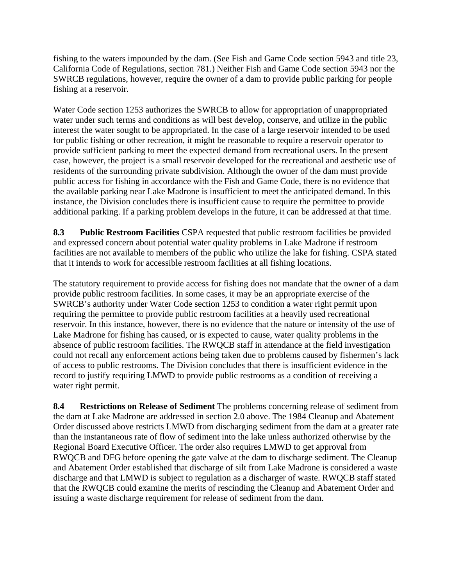fishing to the waters impounded by the dam. (See Fish and Game Code section 5943 and title 23, California Code of Regulations, section 781.) Neither Fish and Game Code section 5943 nor the SWRCB regulations, however, require the owner of a dam to provide public parking for people fishing at a reservoir.

Water Code section 1253 authorizes the SWRCB to allow for appropriation of unappropriated water under such terms and conditions as will best develop, conserve, and utilize in the public interest the water sought to be appropriated. In the case of a large reservoir intended to be used for public fishing or other recreation, it might be reasonable to require a reservoir operator to provide sufficient parking to meet the expected demand from recreational users. In the present case, however, the project is a small reservoir developed for the recreational and aesthetic use of residents of the surrounding private subdivision. Although the owner of the dam must provide public access for fishing in accordance with the Fish and Game Code, there is no evidence that the available parking near Lake Madrone is insufficient to meet the anticipated demand. In this instance, the Division concludes there is insufficient cause to require the permittee to provide additional parking. If a parking problem develops in the future, it can be addressed at that time.

**8.3 Public Restroom Facilities** CSPA requested that public restroom facilities be provided and expressed concern about potential water quality problems in Lake Madrone if restroom facilities are not available to members of the public who utilize the lake for fishing. CSPA stated that it intends to work for accessible restroom facilities at all fishing locations.

The statutory requirement to provide access for fishing does not mandate that the owner of a dam provide public restroom facilities. In some cases, it may be an appropriate exercise of the SWRCB's authority under Water Code section 1253 to condition a water right permit upon requiring the permittee to provide public restroom facilities at a heavily used recreational reservoir. In this instance, however, there is no evidence that the nature or intensity of the use of Lake Madrone for fishing has caused, or is expected to cause, water quality problems in the absence of public restroom facilities. The RWQCB staff in attendance at the field investigation could not recall any enforcement actions being taken due to problems caused by fishermen's lack of access to public restrooms. The Division concludes that there is insufficient evidence in the record to justify requiring LMWD to provide public restrooms as a condition of receiving a water right permit.

**8.4 Restrictions on Release of Sediment** The problems concerning release of sediment from the dam at Lake Madrone are addressed in section 2.0 above. The 1984 Cleanup and Abatement Order discussed above restricts LMWD from discharging sediment from the dam at a greater rate than the instantaneous rate of flow of sediment into the lake unless authorized otherwise by the Regional Board Executive Officer. The order also requires LMWD to get approval from RWQCB and DFG before opening the gate valve at the dam to discharge sediment. The Cleanup and Abatement Order established that discharge of silt from Lake Madrone is considered a waste discharge and that LMWD is subject to regulation as a discharger of waste. RWQCB staff stated that the RWQCB could examine the merits of rescinding the Cleanup and Abatement Order and issuing a waste discharge requirement for release of sediment from the dam.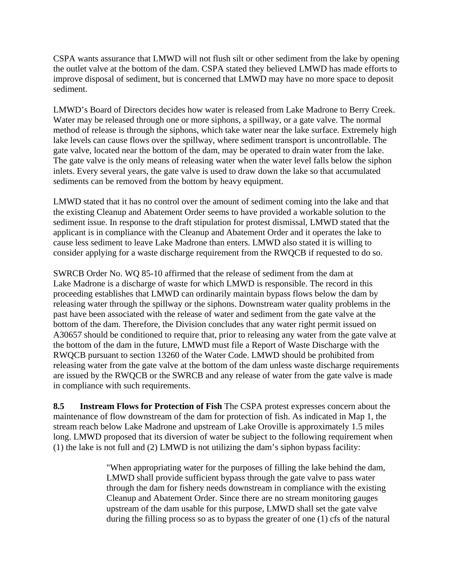CSPA wants assurance that LMWD will not flush silt or other sediment from the lake by opening the outlet valve at the bottom of the dam. CSPA stated they believed LMWD has made efforts to improve disposal of sediment, but is concerned that LMWD may have no more space to deposit sediment.

LMWD's Board of Directors decides how water is released from Lake Madrone to Berry Creek. Water may be released through one or more siphons, a spillway, or a gate valve. The normal method of release is through the siphons, which take water near the lake surface. Extremely high lake levels can cause flows over the spillway, where sediment transport is uncontrollable. The gate valve, located near the bottom of the dam, may be operated to drain water from the lake. The gate valve is the only means of releasing water when the water level falls below the siphon inlets. Every several years, the gate valve is used to draw down the lake so that accumulated sediments can be removed from the bottom by heavy equipment.

LMWD stated that it has no control over the amount of sediment coming into the lake and that the existing Cleanup and Abatement Order seems to have provided a workable solution to the sediment issue. In response to the draft stipulation for protest dismissal, LMWD stated that the applicant is in compliance with the Cleanup and Abatement Order and it operates the lake to cause less sediment to leave Lake Madrone than enters. LMWD also stated it is willing to consider applying for a waste discharge requirement from the RWQCB if requested to do so.

SWRCB Order No. WQ 85-10 affirmed that the release of sediment from the dam at Lake Madrone is a discharge of waste for which LMWD is responsible. The record in this proceeding establishes that LMWD can ordinarily maintain bypass flows below the dam by releasing water through the spillway or the siphons. Downstream water quality problems in the past have been associated with the release of water and sediment from the gate valve at the bottom of the dam. Therefore, the Division concludes that any water right permit issued on A30657 should be conditioned to require that, prior to releasing any water from the gate valve at the bottom of the dam in the future, LMWD must file a Report of Waste Discharge with the RWQCB pursuant to section 13260 of the Water Code. LMWD should be prohibited from releasing water from the gate valve at the bottom of the dam unless waste discharge requirements are issued by the RWQCB or the SWRCB and any release of water from the gate valve is made in compliance with such requirements.

**8.5 Instream Flows for Protection of Fish** The CSPA protest expresses concern about the maintenance of flow downstream of the dam for protection of fish. As indicated in Map 1, the stream reach below Lake Madrone and upstream of Lake Oroville is approximately 1.5 miles long. LMWD proposed that its diversion of water be subject to the following requirement when (1) the lake is not full and (2) LMWD is not utilizing the dam's siphon bypass facility:

> "When appropriating water for the purposes of filling the lake behind the dam, LMWD shall provide sufficient bypass through the gate valve to pass water through the dam for fishery needs downstream in compliance with the existing Cleanup and Abatement Order. Since there are no stream monitoring gauges upstream of the dam usable for this purpose, LMWD shall set the gate valve during the filling process so as to bypass the greater of one (1) cfs of the natural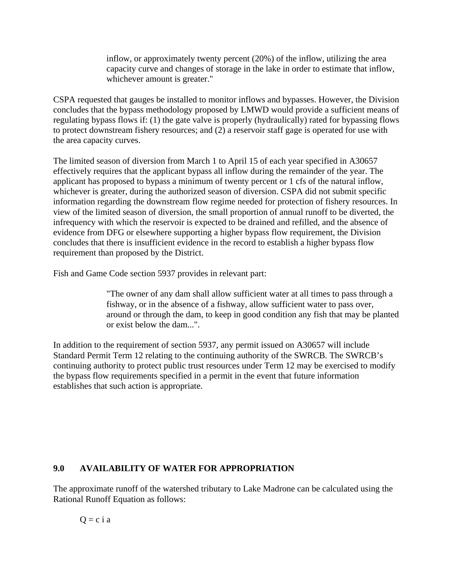inflow, or approximately twenty percent (20%) of the inflow, utilizing the area capacity curve and changes of storage in the lake in order to estimate that inflow, whichever amount is greater."

CSPA requested that gauges be installed to monitor inflows and bypasses. However, the Division concludes that the bypass methodology proposed by LMWD would provide a sufficient means of regulating bypass flows if: (1) the gate valve is properly (hydraulically) rated for bypassing flows to protect downstream fishery resources; and (2) a reservoir staff gage is operated for use with the area capacity curves.

The limited season of diversion from March 1 to April 15 of each year specified in A30657 effectively requires that the applicant bypass all inflow during the remainder of the year. The applicant has proposed to bypass a minimum of twenty percent or 1 cfs of the natural inflow, whichever is greater, during the authorized season of diversion. CSPA did not submit specific information regarding the downstream flow regime needed for protection of fishery resources. In view of the limited season of diversion, the small proportion of annual runoff to be diverted, the infrequency with which the reservoir is expected to be drained and refilled, and the absence of evidence from DFG or elsewhere supporting a higher bypass flow requirement, the Division concludes that there is insufficient evidence in the record to establish a higher bypass flow requirement than proposed by the District.

Fish and Game Code section 5937 provides in relevant part:

"The owner of any dam shall allow sufficient water at all times to pass through a fishway, or in the absence of a fishway, allow sufficient water to pass over, around or through the dam, to keep in good condition any fish that may be planted or exist below the dam...".

In addition to the requirement of section 5937, any permit issued on A30657 will include Standard Permit Term 12 relating to the continuing authority of the SWRCB. The SWRCB's continuing authority to protect public trust resources under Term 12 may be exercised to modify the bypass flow requirements specified in a permit in the event that future information establishes that such action is appropriate.

# **9.0 AVAILABILITY OF WATER FOR APPROPRIATION**

The approximate runoff of the watershed tributary to Lake Madrone can be calculated using the Rational Runoff Equation as follows:

$$
Q = c i a
$$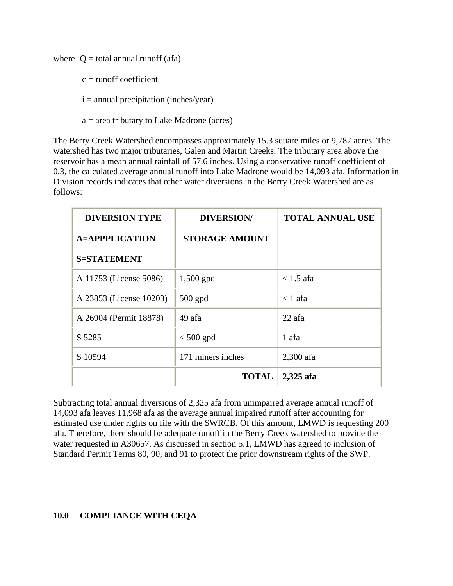where  $Q =$  total annual runoff (afa)

- $c =$  runoff coefficient
- $i =$  annual precipitation (inches/year)
- a = area tributary to Lake Madrone (acres)

The Berry Creek Watershed encompasses approximately 15.3 square miles or 9,787 acres. The watershed has two major tributaries, Galen and Martin Creeks. The tributary area above the reservoir has a mean annual rainfall of 57.6 inches. Using a conservative runoff coefficient of 0.3, the calculated average annual runoff into Lake Madrone would be 14,093 afa. Information in Division records indicates that other water diversions in the Berry Creek Watershed are as follows:

| <b>DIVERSION TYPE</b>   | <b>DIVERSION/</b>     | <b>TOTAL ANNUAL USE</b> |
|-------------------------|-----------------------|-------------------------|
| <b>A=APPPLICATION</b>   | <b>STORAGE AMOUNT</b> |                         |
| <b>S=STATEMENT</b>      |                       |                         |
| A 11753 (License 5086)  | $1,500$ gpd           | $< 1.5$ afa             |
| A 23853 (License 10203) | $500$ gpd             | $< 1$ afa               |
| A 26904 (Permit 18878)  | 49 afa                | 22 afa                  |
| S 5285                  | $< 500$ gpd           | 1 afa                   |
| S 10594                 | 171 miners inches     | 2,300 afa               |
|                         | <b>TOTAL</b>          | 2,325 afa               |

Subtracting total annual diversions of 2,325 afa from unimpaired average annual runoff of 14,093 afa leaves 11,968 afa as the average annual impaired runoff after accounting for estimated use under rights on file with the SWRCB. Of this amount, LMWD is requesting 200 afa. Therefore, there should be adequate runoff in the Berry Creek watershed to provide the water requested in A30657. As discussed in section 5.1, LMWD has agreed to inclusion of Standard Permit Terms 80, 90, and 91 to protect the prior downstream rights of the SWP.

### **10.0 COMPLIANCE WITH CEQA**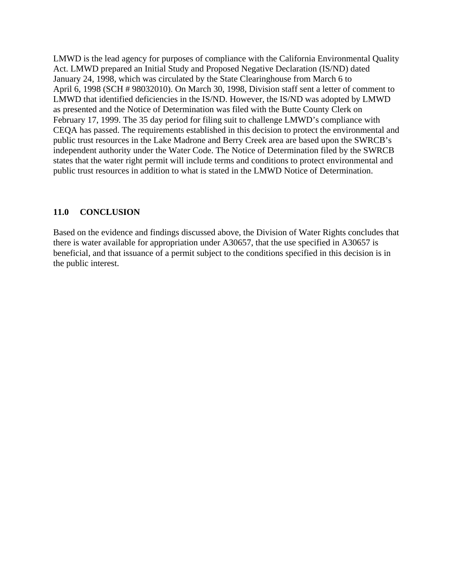LMWD is the lead agency for purposes of compliance with the California Environmental Quality Act. LMWD prepared an Initial Study and Proposed Negative Declaration (IS/ND) dated January 24, 1998, which was circulated by the State Clearinghouse from March 6 to April 6, 1998 (SCH # 98032010). On March 30, 1998, Division staff sent a letter of comment to LMWD that identified deficiencies in the IS/ND. However, the IS/ND was adopted by LMWD as presented and the Notice of Determination was filed with the Butte County Clerk on February 17, 1999. The 35 day period for filing suit to challenge LMWD's compliance with CEQA has passed. The requirements established in this decision to protect the environmental and public trust resources in the Lake Madrone and Berry Creek area are based upon the SWRCB's independent authority under the Water Code. The Notice of Determination filed by the SWRCB states that the water right permit will include terms and conditions to protect environmental and public trust resources in addition to what is stated in the LMWD Notice of Determination.

# **11.0 CONCLUSION**

Based on the evidence and findings discussed above, the Division of Water Rights concludes that there is water available for appropriation under A30657, that the use specified in A30657 is beneficial, and that issuance of a permit subject to the conditions specified in this decision is in the public interest.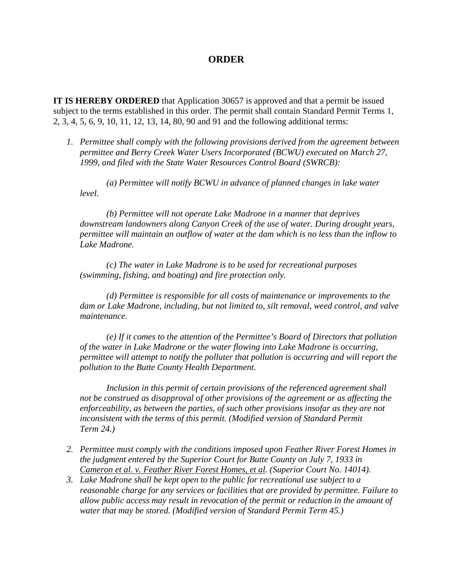### **ORDER**

**IT IS HEREBY ORDERED** that Application 30657 is approved and that a permit be issued subject to the terms established in this order. The permit shall contain Standard Permit Terms 1, 2, 3, 4, 5, 6, 9, 10, 11, 12, 13, 14, 80, 90 and 91 and the following additional terms:

*1. Permittee shall comply with the following provisions derived from the agreement between permittee and Berry Creek Water Users Incorporated (BCWU) executed on March 27, 1999, and filed with the State Water Resources Control Board (SWRCB):* 

 *(a) Permittee will notify BCWU in advance of planned changes in lake water level.* 

 *(b) Permittee will not operate Lake Madrone in a manner that deprives downstream landowners along Canyon Creek of the use of water. During drought years, permittee will maintain an outflow of water at the dam which is no less than the inflow to Lake Madrone.* 

 *(c) The water in Lake Madrone is to be used for recreational purposes (swimming, fishing, and boating) and fire protection only.* 

 *(d) Permittee is responsible for all costs of maintenance or improvements to the dam or Lake Madrone, including, but not limited to, silt removal, weed control, and valve maintenance.* 

 *(e) If it comes to the attention of the Permittee's Board of Directors that pollution of the water in Lake Madrone or the water flowing into Lake Madrone is occurring, permittee will attempt to notify the polluter that pollution is occurring and will report the pollution to the Butte County Health Department.* 

 *Inclusion in this permit of certain provisions of the referenced agreement shall not be construed as disapproval of other provisions of the agreement or as affecting the enforceability, as between the parties, of such other provisions insofar as they are not*  inconsistent with the terms of this permit. (Modified version of Standard Permit *Term 24.)* 

- *2. Permittee must comply with the conditions imposed upon Feather River Forest Homes in the judgment entered by the Superior Court for Butte County on July 7, 1933 in Cameron et al. v. Feather River Forest Homes, et al. (Superior Court No. 14014).*
- *3. Lake Madrone shall be kept open to the public for recreational use subject to a reasonable charge for any services or facilities that are provided by permittee. Failure to allow public access may result in revocation of the permit or reduction in the amount of water that may be stored. (Modified version of Standard Permit Term 45.)*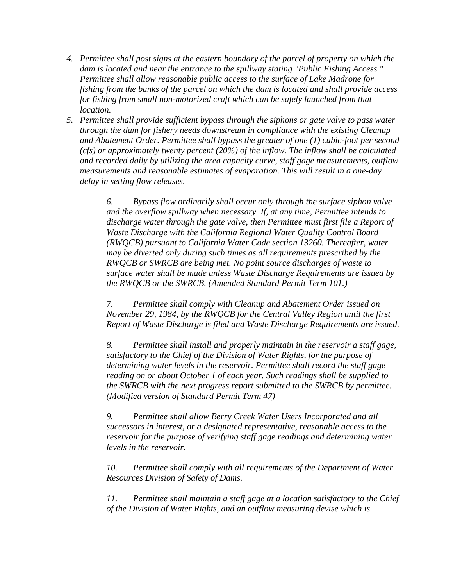- *4. Permittee shall post signs at the eastern boundary of the parcel of property on which the dam is located and near the entrance to the spillway stating "Public Fishing Access." Permittee shall allow reasonable public access to the surface of Lake Madrone for fishing from the banks of the parcel on which the dam is located and shall provide access for fishing from small non-motorized craft which can be safely launched from that location.*
- *5. Permittee shall provide sufficient bypass through the siphons or gate valve to pass water through the dam for fishery needs downstream in compliance with the existing Cleanup and Abatement Order. Permittee shall bypass the greater of one (1) cubic-foot per second (cfs) or approximately twenty percent (20%) of the inflow. The inflow shall be calculated and recorded daily by utilizing the area capacity curve, staff gage measurements, outflow measurements and reasonable estimates of evaporation. This will result in a one-day delay in setting flow releases.*

*6. Bypass flow ordinarily shall occur only through the surface siphon valve and the overflow spillway when necessary. If, at any time, Permittee intends to discharge water through the gate valve, then Permittee must first file a Report of Waste Discharge with the California Regional Water Quality Control Board (RWQCB) pursuant to California Water Code section 13260. Thereafter, water may be diverted only during such times as all requirements prescribed by the RWQCB or SWRCB are being met. No point source discharges of waste to surface water shall be made unless Waste Discharge Requirements are issued by the RWQCB or the SWRCB. (Amended Standard Permit Term 101.)* 

*7. Permittee shall comply with Cleanup and Abatement Order issued on November 29, 1984, by the RWQCB for the Central Valley Region until the first Report of Waste Discharge is filed and Waste Discharge Requirements are issued.* 

*8. Permittee shall install and properly maintain in the reservoir a staff gage, satisfactory to the Chief of the Division of Water Rights, for the purpose of determining water levels in the reservoir. Permittee shall record the staff gage reading on or about October 1 of each year. Such readings shall be supplied to the SWRCB with the next progress report submitted to the SWRCB by permittee. (Modified version of Standard Permit Term 47)* 

*9. Permittee shall allow Berry Creek Water Users Incorporated and all successors in interest, or a designated representative, reasonable access to the reservoir for the purpose of verifying staff gage readings and determining water levels in the reservoir.* 

*10. Permittee shall comply with all requirements of the Department of Water Resources Division of Safety of Dams.* 

*11. Permittee shall maintain a staff gage at a location satisfactory to the Chief of the Division of Water Rights, and an outflow measuring devise which is*